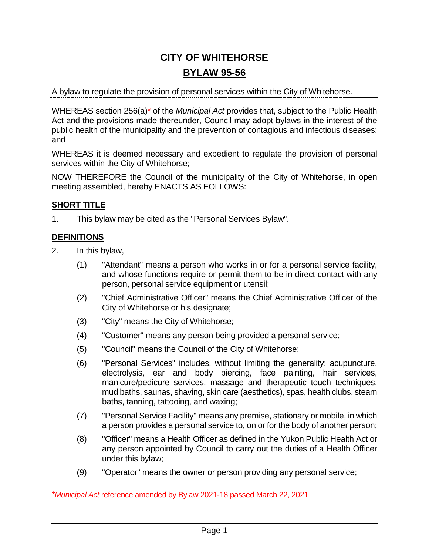# **CITY OF WHITEHORSE BYLAW 95-56**

## A bylaw to regulate the provision of personal services within the City of Whitehorse.

WHEREAS section 256(a)\* of the *Municipal Act* provides that, subject to the Public Health Act and the provisions made thereunder, Council may adopt bylaws in the interest of the public health of the municipality and the prevention of contagious and infectious diseases; and

WHEREAS it is deemed necessary and expedient to regulate the provision of personal services within the City of Whitehorse;

NOW THEREFORE the Council of the municipality of the City of Whitehorse, in open meeting assembled, hereby ENACTS AS FOLLOWS:

# **SHORT TITLE**

1. This bylaw may be cited as the "Personal Services Bylaw".

# **DEFINITIONS**

- 2. In this bylaw,
	- (1) "Attendant" means a person who works in or for a personal service facility, and whose functions require or permit them to be in direct contact with any person, personal service equipment or utensil;
	- (2) "Chief Administrative Officer" means the Chief Administrative Officer of the City of Whitehorse or his designate;
	- (3) "City" means the City of Whitehorse;
	- (4) "Customer" means any person being provided a personal service;
	- (5) "Council" means the Council of the City of Whitehorse;
	- (6) "Personal Services" includes, without limiting the generality: acupuncture, electrolysis, ear and body piercing, face painting, hair services, manicure/pedicure services, massage and therapeutic touch techniques, mud baths, saunas, shaving, skin care (aesthetics), spas, health clubs, steam baths, tanning, tattooing, and waxing;
	- (7) "Personal Service Facility" means any premise, stationary or mobile, in which a person provides a personal service to, on or for the body of another person;
	- (8) "Officer" means a Health Officer as defined in the Yukon Public Health Act or any person appointed by Council to carry out the duties of a Health Officer under this bylaw;
	- (9) "Operator" means the owner or person providing any personal service;

*\*Municipal Act* reference amended by Bylaw 2021-18 passed March 22, 2021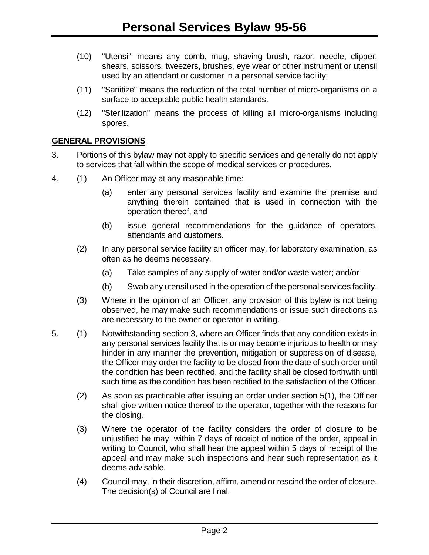- (10) "Utensil" means any comb, mug, shaving brush, razor, needle, clipper, shears, scissors, tweezers, brushes, eye wear or other instrument or utensil used by an attendant or customer in a personal service facility;
- (11) "Sanitize" means the reduction of the total number of micro-organisms on a surface to acceptable public health standards.
- (12) "Sterilization" means the process of killing all micro-organisms including spores.

## **GENERAL PROVISIONS**

- 3. Portions of this bylaw may not apply to specific services and generally do not apply to services that fall within the scope of medical services or procedures.
- 4. (1) An Officer may at any reasonable time:
	- (a) enter any personal services facility and examine the premise and anything therein contained that is used in connection with the operation thereof, and
	- (b) issue general recommendations for the guidance of operators, attendants and customers.
	- (2) In any personal service facility an officer may, for laboratory examination, as often as he deems necessary,
		- (a) Take samples of any supply of water and/or waste water; and/or
		- (b) Swab any utensil used in the operation of the personal services facility.
	- (3) Where in the opinion of an Officer, any provision of this bylaw is not being observed, he may make such recommendations or issue such directions as are necessary to the owner or operator in writing.
- 5. (1) Notwithstanding section 3, where an Officer finds that any condition exists in any personal services facility that is or may become injurious to health or may hinder in any manner the prevention, mitigation or suppression of disease, the Officer may order the facility to be closed from the date of such order until the condition has been rectified, and the facility shall be closed forthwith until such time as the condition has been rectified to the satisfaction of the Officer.
	- (2) As soon as practicable after issuing an order under section 5(1), the Officer shall give written notice thereof to the operator, together with the reasons for the closing.
	- (3) Where the operator of the facility considers the order of closure to be unjustified he may, within 7 days of receipt of notice of the order, appeal in writing to Council, who shall hear the appeal within 5 days of receipt of the appeal and may make such inspections and hear such representation as it deems advisable.
	- (4) Council may, in their discretion, affirm, amend or rescind the order of closure. The decision(s) of Council are final.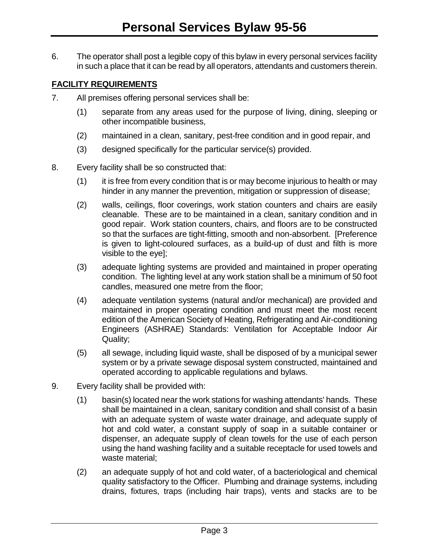6. The operator shall post a legible copy of this bylaw in every personal services facility in such a place that it can be read by all operators, attendants and customers therein.

# **FACILITY REQUIREMENTS**

- 7. All premises offering personal services shall be:
	- (1) separate from any areas used for the purpose of living, dining, sleeping or other incompatible business,
	- (2) maintained in a clean, sanitary, pest-free condition and in good repair, and
	- (3) designed specifically for the particular service(s) provided.
- 8. Every facility shall be so constructed that:
	- (1) it is free from every condition that is or may become injurious to health or may hinder in any manner the prevention, mitigation or suppression of disease;
	- (2) walls, ceilings, floor coverings, work station counters and chairs are easily cleanable. These are to be maintained in a clean, sanitary condition and in good repair. Work station counters, chairs, and floors are to be constructed so that the surfaces are tight-fitting, smooth and non-absorbent. [Preference is given to light-coloured surfaces, as a build-up of dust and filth is more visible to the eye];
	- (3) adequate lighting systems are provided and maintained in proper operating condition. The lighting level at any work station shall be a minimum of 50 foot candles, measured one metre from the floor;
	- (4) adequate ventilation systems (natural and/or mechanical) are provided and maintained in proper operating condition and must meet the most recent edition of the American Society of Heating, Refrigerating and Air-conditioning Engineers (ASHRAE) Standards: Ventilation for Acceptable Indoor Air Quality;
	- (5) all sewage, including liquid waste, shall be disposed of by a municipal sewer system or by a private sewage disposal system constructed, maintained and operated according to applicable regulations and bylaws.
- 9. Every facility shall be provided with:
	- (1) basin(s) located near the work stations for washing attendants' hands. These shall be maintained in a clean, sanitary condition and shall consist of a basin with an adequate system of waste water drainage, and adequate supply of hot and cold water, a constant supply of soap in a suitable container or dispenser, an adequate supply of clean towels for the use of each person using the hand washing facility and a suitable receptacle for used towels and waste material;
	- (2) an adequate supply of hot and cold water, of a bacteriological and chemical quality satisfactory to the Officer. Plumbing and drainage systems, including drains, fixtures, traps (including hair traps), vents and stacks are to be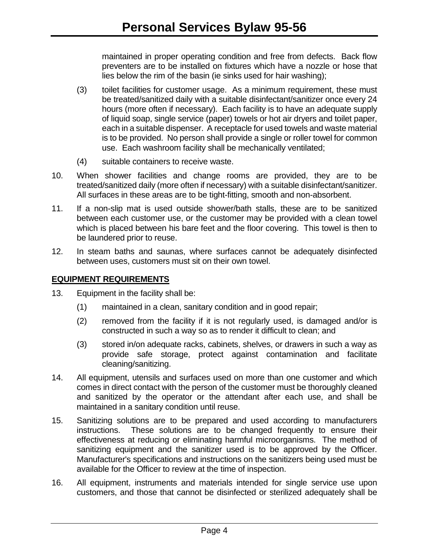maintained in proper operating condition and free from defects. Back flow preventers are to be installed on fixtures which have a nozzle or hose that lies below the rim of the basin (ie sinks used for hair washing);

- (3) toilet facilities for customer usage. As a minimum requirement, these must be treated/sanitized daily with a suitable disinfectant/sanitizer once every 24 hours (more often if necessary). Each facility is to have an adequate supply of liquid soap, single service (paper) towels or hot air dryers and toilet paper, each in a suitable dispenser. A receptacle for used towels and waste material is to be provided. No person shall provide a single or roller towel for common use. Each washroom facility shall be mechanically ventilated;
- (4) suitable containers to receive waste.
- 10. When shower facilities and change rooms are provided, they are to be treated/sanitized daily (more often if necessary) with a suitable disinfectant/sanitizer. All surfaces in these areas are to be tight-fitting, smooth and non-absorbent.
- 11. If a non-slip mat is used outside shower/bath stalls, these are to be sanitized between each customer use, or the customer may be provided with a clean towel which is placed between his bare feet and the floor covering. This towel is then to be laundered prior to reuse.
- 12. In steam baths and saunas, where surfaces cannot be adequately disinfected between uses, customers must sit on their own towel.

## **EQUIPMENT REQUIREMENTS**

- 13. Equipment in the facility shall be:
	- (1) maintained in a clean, sanitary condition and in good repair;
	- (2) removed from the facility if it is not regularly used, is damaged and/or is constructed in such a way so as to render it difficult to clean; and
	- (3) stored in/on adequate racks, cabinets, shelves, or drawers in such a way as provide safe storage, protect against contamination and facilitate cleaning/sanitizing.
- 14. All equipment, utensils and surfaces used on more than one customer and which comes in direct contact with the person of the customer must be thoroughly cleaned and sanitized by the operator or the attendant after each use, and shall be maintained in a sanitary condition until reuse.
- 15. Sanitizing solutions are to be prepared and used according to manufacturers instructions. These solutions are to be changed frequently to ensure their effectiveness at reducing or eliminating harmful microorganisms. The method of sanitizing equipment and the sanitizer used is to be approved by the Officer. Manufacturer's specifications and instructions on the sanitizers being used must be available for the Officer to review at the time of inspection.
- 16. All equipment, instruments and materials intended for single service use upon customers, and those that cannot be disinfected or sterilized adequately shall be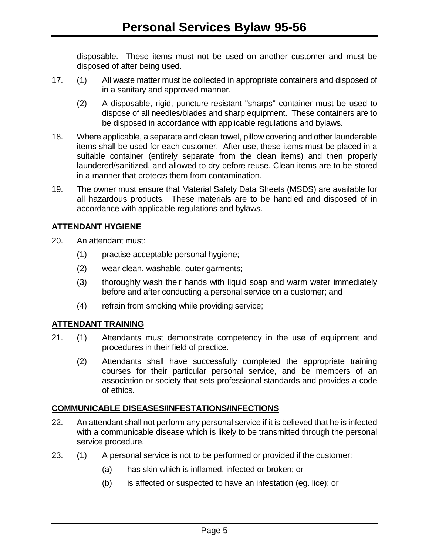disposable. These items must not be used on another customer and must be disposed of after being used.

- 17. (1) All waste matter must be collected in appropriate containers and disposed of in a sanitary and approved manner.
	- (2) A disposable, rigid, puncture-resistant "sharps" container must be used to dispose of all needles/blades and sharp equipment. These containers are to be disposed in accordance with applicable regulations and bylaws.
- 18. Where applicable, a separate and clean towel, pillow covering and other launderable items shall be used for each customer. After use, these items must be placed in a suitable container (entirely separate from the clean items) and then properly laundered/sanitized, and allowed to dry before reuse. Clean items are to be stored in a manner that protects them from contamination.
- 19. The owner must ensure that Material Safety Data Sheets (MSDS) are available for all hazardous products. These materials are to be handled and disposed of in accordance with applicable regulations and bylaws.

# **ATTENDANT HYGIENE**

- 20. An attendant must:
	- (1) practise acceptable personal hygiene;
	- (2) wear clean, washable, outer garments;
	- (3) thoroughly wash their hands with liquid soap and warm water immediately before and after conducting a personal service on a customer; and
	- (4) refrain from smoking while providing service;

## **ATTENDANT TRAINING**

- 21. (1) Attendants must demonstrate competency in the use of equipment and procedures in their field of practice.
	- (2) Attendants shall have successfully completed the appropriate training courses for their particular personal service, and be members of an association or society that sets professional standards and provides a code of ethics.

## **COMMUNICABLE DISEASES/INFESTATIONS/INFECTIONS**

- 22. An attendant shall not perform any personal service if it is believed that he is infected with a communicable disease which is likely to be transmitted through the personal service procedure.
- 23. (1) A personal service is not to be performed or provided if the customer:
	- (a) has skin which is inflamed, infected or broken; or
	- (b) is affected or suspected to have an infestation (eg. lice); or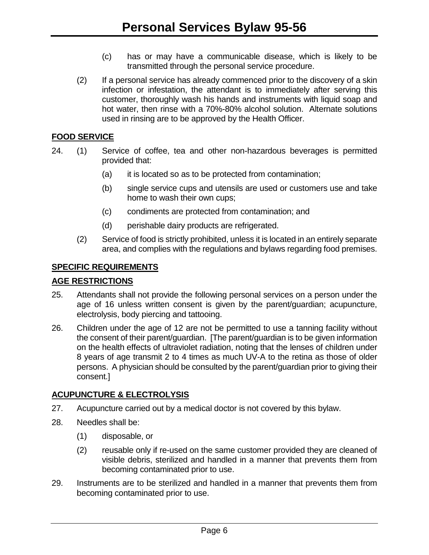- (c) has or may have a communicable disease, which is likely to be transmitted through the personal service procedure.
- (2) If a personal service has already commenced prior to the discovery of a skin infection or infestation, the attendant is to immediately after serving this customer, thoroughly wash his hands and instruments with liquid soap and hot water, then rinse with a 70%-80% alcohol solution. Alternate solutions used in rinsing are to be approved by the Health Officer.

## **FOOD SERVICE**

- 24. (1) Service of coffee, tea and other non-hazardous beverages is permitted provided that:
	- (a) it is located so as to be protected from contamination;
	- (b) single service cups and utensils are used or customers use and take home to wash their own cups;
	- (c) condiments are protected from contamination; and
	- (d) perishable dairy products are refrigerated.
	- (2) Service of food is strictly prohibited, unless it is located in an entirely separate area, and complies with the regulations and bylaws regarding food premises.

## **SPECIFIC REQUIREMENTS**

## **AGE RESTRICTIONS**

- 25. Attendants shall not provide the following personal services on a person under the age of 16 unless written consent is given by the parent/guardian; acupuncture, electrolysis, body piercing and tattooing.
- 26. Children under the age of 12 are not be permitted to use a tanning facility without the consent of their parent/guardian. [The parent/guardian is to be given information on the health effects of ultraviolet radiation, noting that the lenses of children under 8 years of age transmit 2 to 4 times as much UV-A to the retina as those of older persons. A physician should be consulted by the parent/guardian prior to giving their consent.]

# **ACUPUNCTURE & ELECTROLYSIS**

- 27. Acupuncture carried out by a medical doctor is not covered by this bylaw.
- 28. Needles shall be:
	- (1) disposable, or
	- (2) reusable only if re-used on the same customer provided they are cleaned of visible debris, sterilized and handled in a manner that prevents them from becoming contaminated prior to use.
- 29. Instruments are to be sterilized and handled in a manner that prevents them from becoming contaminated prior to use.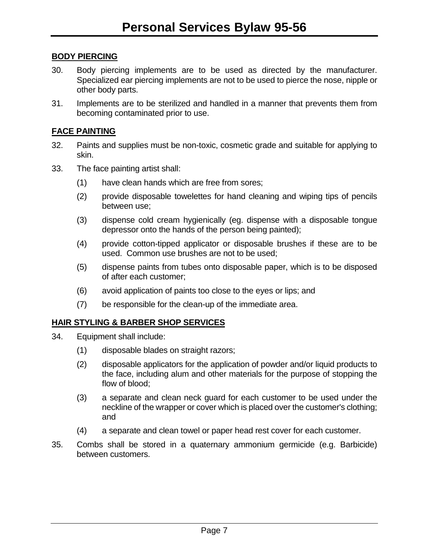## **BODY PIERCING**

- 30. Body piercing implements are to be used as directed by the manufacturer. Specialized ear piercing implements are not to be used to pierce the nose, nipple or other body parts.
- 31. Implements are to be sterilized and handled in a manner that prevents them from becoming contaminated prior to use.

## **FACE PAINTING**

- 32. Paints and supplies must be non-toxic, cosmetic grade and suitable for applying to skin.
- 33. The face painting artist shall:
	- (1) have clean hands which are free from sores;
	- (2) provide disposable towelettes for hand cleaning and wiping tips of pencils between use;
	- (3) dispense cold cream hygienically (eg. dispense with a disposable tongue depressor onto the hands of the person being painted);
	- (4) provide cotton-tipped applicator or disposable brushes if these are to be used. Common use brushes are not to be used;
	- (5) dispense paints from tubes onto disposable paper, which is to be disposed of after each customer;
	- (6) avoid application of paints too close to the eyes or lips; and
	- (7) be responsible for the clean-up of the immediate area.

## **HAIR STYLING & BARBER SHOP SERVICES**

- 34. Equipment shall include:
	- (1) disposable blades on straight razors;
	- (2) disposable applicators for the application of powder and/or liquid products to the face, including alum and other materials for the purpose of stopping the flow of blood;
	- (3) a separate and clean neck guard for each customer to be used under the neckline of the wrapper or cover which is placed over the customer's clothing; and
	- (4) a separate and clean towel or paper head rest cover for each customer.
- 35. Combs shall be stored in a quaternary ammonium germicide (e.g. Barbicide) between customers.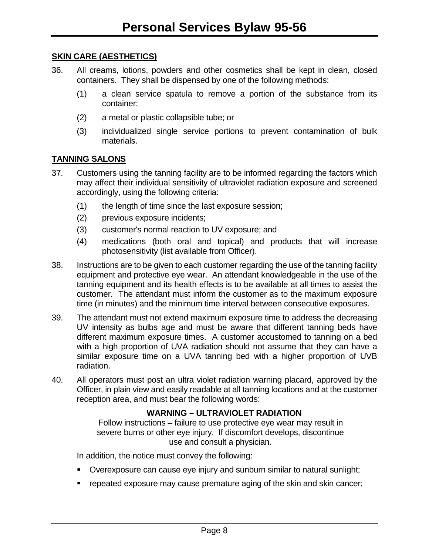## **SKIN CARE (AESTHETICS)**

- 36. All creams, lotions, powders and other cosmetics shall be kept in clean, closed containers. They shall be dispensed by one of the following methods:
	- (1) a clean service spatula to remove a portion of the substance from its container;
	- (2) a metal or plastic collapsible tube; or
	- (3) individualized single service portions to prevent contamination of bulk materials.

# **TANNING SALONS**

- 37. Customers using the tanning facility are to be informed regarding the factors which may affect their individual sensitivity of ultraviolet radiation exposure and screened accordingly, using the following criteria:
	- (1) the length of time since the last exposure session;
	- (2) previous exposure incidents;
	- (3) customer's normal reaction to UV exposure; and
	- (4) medications (both oral and topical) and products that will increase photosensitivity (list available from Officer).
- 38. Instructions are to be given to each customer regarding the use of the tanning facility equipment and protective eye wear. An attendant knowledgeable in the use of the tanning equipment and its health effects is to be available at all times to assist the customer. The attendant must inform the customer as to the maximum exposure time (in minutes) and the minimum time interval between consecutive exposures.
- 39. The attendant must not extend maximum exposure time to address the decreasing UV intensity as bulbs age and must be aware that different tanning beds have different maximum exposure times. A customer accustomed to tanning on a bed with a high proportion of UVA radiation should not assume that they can have a similar exposure time on a UVA tanning bed with a higher proportion of UVB radiation.
- 40. All operators must post an ultra violet radiation warning placard, approved by the Officer, in plain view and easily readable at all tanning locations and at the customer reception area, and must bear the following words:

## **WARNING – ULTRAVIOLET RADIATION**

Follow instructions – failure to use protective eye wear may result in severe burns or other eye injury. If discomfort develops, discontinue use and consult a physician.

In addition, the notice must convey the following:

- Overexposure can cause eye injury and sunburn similar to natural sunlight;
- **repeated exposure may cause premature aging of the skin and skin cancer;**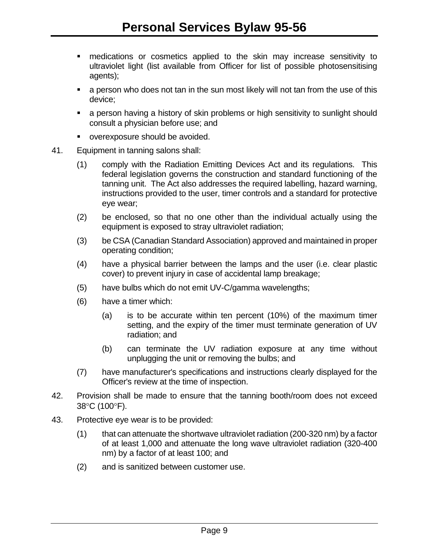- medications or cosmetics applied to the skin may increase sensitivity to ultraviolet light (list available from Officer for list of possible photosensitising agents);
- a person who does not tan in the sun most likely will not tan from the use of this device;
- a person having a history of skin problems or high sensitivity to sunlight should consult a physician before use; and
- overexposure should be avoided.
- 41. Equipment in tanning salons shall:
	- (1) comply with the Radiation Emitting Devices Act and its regulations. This federal legislation governs the construction and standard functioning of the tanning unit. The Act also addresses the required labelling, hazard warning, instructions provided to the user, timer controls and a standard for protective eye wear;
	- (2) be enclosed, so that no one other than the individual actually using the equipment is exposed to stray ultraviolet radiation;
	- (3) be CSA (Canadian Standard Association) approved and maintained in proper operating condition;
	- (4) have a physical barrier between the lamps and the user (i.e. clear plastic cover) to prevent injury in case of accidental lamp breakage;
	- (5) have bulbs which do not emit UV-C/gamma wavelengths;
	- (6) have a timer which:
		- (a) is to be accurate within ten percent (10%) of the maximum timer setting, and the expiry of the timer must terminate generation of UV radiation; and
		- (b) can terminate the UV radiation exposure at any time without unplugging the unit or removing the bulbs; and
	- (7) have manufacturer's specifications and instructions clearly displayed for the Officer's review at the time of inspection.
- 42. Provision shall be made to ensure that the tanning booth/room does not exceed 38°C (100°F).
- 43. Protective eye wear is to be provided:
	- (1) that can attenuate the shortwave ultraviolet radiation (200-320 nm) by a factor of at least 1,000 and attenuate the long wave ultraviolet radiation (320-400 nm) by a factor of at least 100; and
	- (2) and is sanitized between customer use.